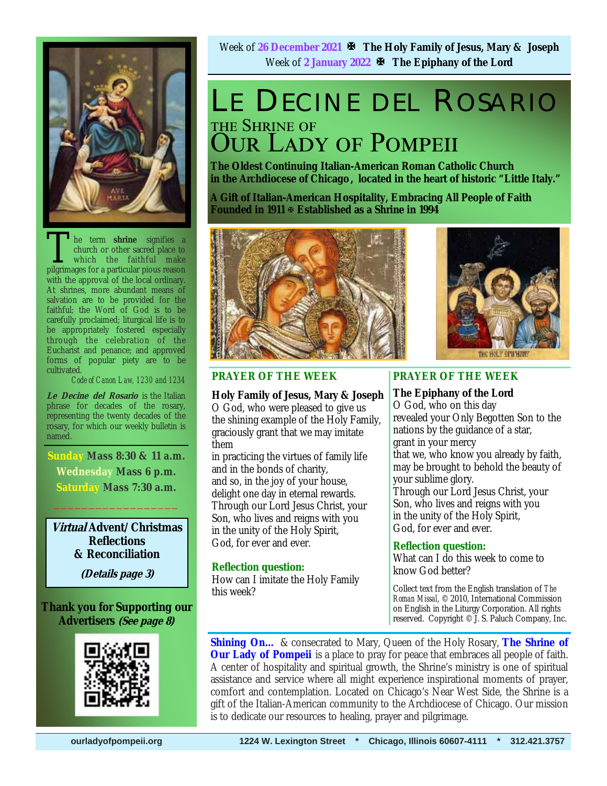

The term **shrine** signifies a church or other sacred place to which the faithful make pilerimages for a particular pious reason church or other sacred place to which the faithful make pilgrimages for a particular pious reason with the approval of the local ordinary. At shrines, more abundant means of salvation are to be provided for the faithful; the Word of God is to be carefully proclaimed; liturgical life is to be appropriately fostered especially through the celebration of the Eucharist and penance; and approved forms of popular piety are to be cultivated.

*Code of Canon Law, 1230 and 1234* 

**Le Decine del Rosario** is the Italian phrase for decades of the rosary, representing the twenty decades of the rosary, for which our weekly bulletin is named.

**Sunday Mass 8:30 & 11 a.m. Wednesday Mass 6 p.m. Saturday Mass 7:30 a.m.** 

**Virtual Advent/Christmas Reflections & Reconciliation** 

 $\frac{1}{2}$  ,  $\frac{1}{2}$  ,  $\frac{1}{2}$  ,  $\frac{1}{2}$  ,  $\frac{1}{2}$  ,  $\frac{1}{2}$  ,  $\frac{1}{2}$  ,  $\frac{1}{2}$ 

**(Details page 3)**

**Thank you for Supporting our Advertisers (See page 8)**



Week of **26 December 2021 The Holy Family of Jesus, Mary & Joseph** Week of **2 January 2022 The Epiphany of the Lord**

## LE DECINE DEL ROSARIO THE SHRINE OF **OUR LADY OF POMPEII**

**The Oldest Continuing Italian-American Roman Catholic Church in the Archdiocese of Chicago , located in the heart of historic "Little Italy."** 

**A Gift of Italian-American Hospitality, Embracing All People of Faith Founded in 1911 Established as a Shrine in 1994**



### **PRAYER OF THE WEEK**

#### **Holy Family of Jesus, Mary & Joseph**

O God, who were pleased to give us the shining example of the Holy Family, graciously grant that we may imitate them

in practicing the virtues of family life and in the bonds of charity, and so, in the joy of your house, delight one day in eternal rewards. Through our Lord Jesus Christ, your Son, who lives and reigns with you in the unity of the Holy Spirit, God, for ever and ever.

### **Reflection question:**

How can I imitate the Holy Family this week?



## **PRAYER OF THE WEEK**

**The Epiphany of the Lord** 

O God, who on this day revealed your Only Begotten Son to the nations by the guidance of a star, grant in your mercy that we, who know you already by faith, may be brought to behold the beauty of

your sublime glory.

Through our Lord Jesus Christ, your Son, who lives and reigns with you in the unity of the Holy Spirit, God, for ever and ever.

### **Reflection question:**

What can I do this week to come to know God better?

Collect text from the English translation of *The Roman Missal*, © 2010, International Commission on English in the Liturgy Corporation. All rights reserved. Copyright © J. S. Paluch Company, Inc.

**Shining On…** & consecrated to Mary, Queen of the Holy Rosary, **The Shrine of Our Lady of Pompeii** is a place to pray for peace that embraces all people of faith. A center of hospitality and spiritual growth, the Shrine's ministry is one of spiritual assistance and service where all might experience inspirational moments of prayer, comfort and contemplation. Located on Chicago's Near West Side, the Shrine is a gift of the Italian-American community to the Archdiocese of Chicago. Our mission is to dedicate our resources to healing, prayer and pilgrimage.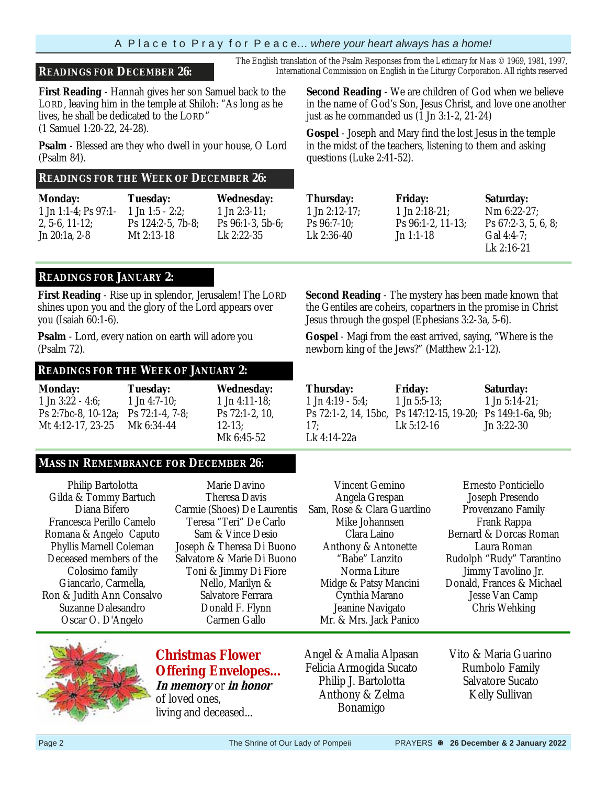### A P l a c e t o P r a y f o r P e a c e… *where your heart always has a home!*

### **READINGS FOR DECEMBER 26:** International Commission on English in the Liturgy Corporation. All rights reserved

**First Reading** - Hannah gives her son Samuel back to the LORD, leaving him in the temple at Shiloh: "As long as he lives, he shall be dedicated to the LORD" (1 Samuel 1:20-22, 24-28).

**Psalm** - Blessed are they who dwell in your house, O Lord (Psalm 84).

### **READINGS FOR THE WEEK OF DECEMBER 26:**

| <b>Monday:</b>          | <b>Tuesday:</b>           | <b>Wednesday:</b>        |
|-------------------------|---------------------------|--------------------------|
| 1 Jn 1:1-4; Ps $97:1$ - | $1 \text{ Jn}$ 1:5 - 2:2: | $1 \text{ Jn } 2:3-11$ ; |
| $2, 5-6, 11-12;$        | Ps $124:2-5$ , $7b-8$ ;   | $Ps$ 96:1-3, 5b-6:       |
| Jn 20:1a, 2-8           | Mt 2:13-18                | Lk 2:22-35               |

### **READINGS FOR JANUARY 2:**

**First Reading** - Rise up in splendor, Jerusalem! The LORD shines upon you and the glory of the Lord appears over you (Isaiah 60:1-6).

**Psalm** - Lord, every nation on earth will adore you (Psalm 72).

### **READINGS FOR THE WEEK OF JANUARY 2:**

| <b>Monday:</b>               | <b>Tuesday:</b>  | <b>Wednesday:</b> |
|------------------------------|------------------|-------------------|
| $1 \text{ Jn } 3:22 - 4:6$ ; | $1$ Jn 4:7-10;   | $1$ Jn 4:11-18;   |
| Ps 2:7bc-8, 10-12a;          | $Ps 72:1-4, 7-8$ | Ps 72:1-2, 10,    |
| Mt 4:12-17, 23-25            | Mk 6:34-44       | $12 - 13$ :       |
|                              |                  | Mk 6:45-52        |

### **MASS IN REMEMBRANCE FOR DECEMBER 26:**

Philip Bartolotta Gilda & Tommy Bartuch Diana Bifero Francesca Perillo Camelo Romana & Angelo Caputo Phyllis Marnell Coleman Deceased members of the Colosimo family Giancarlo, Carmella, Ron & Judith Ann Consalvo Suzanne Dalesandro Oscar O. D'Angelo

Marie Davino Theresa Davis Carmie (Shoes) De Laurentis Teresa "Teri" De Carlo Sam & Vince Desio Joseph & Theresa Di Buono Salvatore & Marie Di Buono Toni & Jimmy Di Fiore Nello, Marilyn & Salvatore Ferrara Donald F. Flynn Carmen Gallo

**Second Reading** - We are children of God when we believe in the name of God's Son, Jesus Christ, and love one another just as he commanded us (1 Jn 3:1-2, 21-24)

The English translation of the Psalm Responses from the *Lectionary for Mass* © 1969, 1981, 1997,

**Gospel** - Joseph and Mary find the lost Jesus in the temple in the midst of the teachers, listening to them and asking questions (Luke 2:41-52).

**Thursday:**  1 Jn 2:12-17; Ps 96:7-10; Lk 2:36-40

**Friday:**  1 Jn 2:18-21; Ps 96:1-2, 11-13; Jn 1:1-18

**Saturday:**  Nm 6:22-27; Ps 67:2-3, 5, 6, 8; Gal 4:4-7; Lk 2:16-21

**Second Reading** - The mystery has been made known that the Gentiles are coheirs, copartners in the promise in Christ Jesus through the gospel (Ephesians 3:2-3a, 5-6).

**Gospel** - Magi from the east arrived, saying, "Where is the newborn king of the Jews?" (Matthew 2:1-12).

| <b>Thursday:</b>   | <b>Friday:</b>                                             | <b>Saturday:</b>       |
|--------------------|------------------------------------------------------------|------------------------|
| $1$ Jn 4:19 - 5:4; | $1 \text{ Jn } 5:5-13$ ;                                   | $1$ Jn 5:14-21;        |
|                    | Ps 72:1-2, 14, 15bc, Ps 147:12-15, 19-20; Ps 149:1-6a, 9b; |                        |
| 17:                | Lk $5:12-16$                                               | $Jn \frac{3:22-30}{5}$ |
| Lk 4:14-22a        |                                                            |                        |

Vincent Gemino Angela Grespan Sam, Rose & Clara Guardino Mike Johannsen Clara Laino Anthony & Antonette "Babe" Lanzito Norma Liture Midge & Patsy Mancini Cynthia Marano Jeanine Navigato Mr. & Mrs. Jack Panico

Angel & Amalia Alpasan Felicia Armogida Sucato Philip J. Bartolotta Anthony & Zelma Bonamigo

Ernesto Ponticiello Joseph Presendo Provenzano Family Frank Rappa Bernard & Dorcas Roman Laura Roman Rudolph "Rudy" Tarantino Jimmy Tavolino Jr. Donald, Frances & Michael Jesse Van Camp Chris Wehking

Vito & Maria Guarino Rumbolo Family Salvatore Sucato Kelly Sullivan

and the contract of the

**Christmas Flower Offering Envelopes… In memory** or **in honor** 

living and deceased...

of loved ones,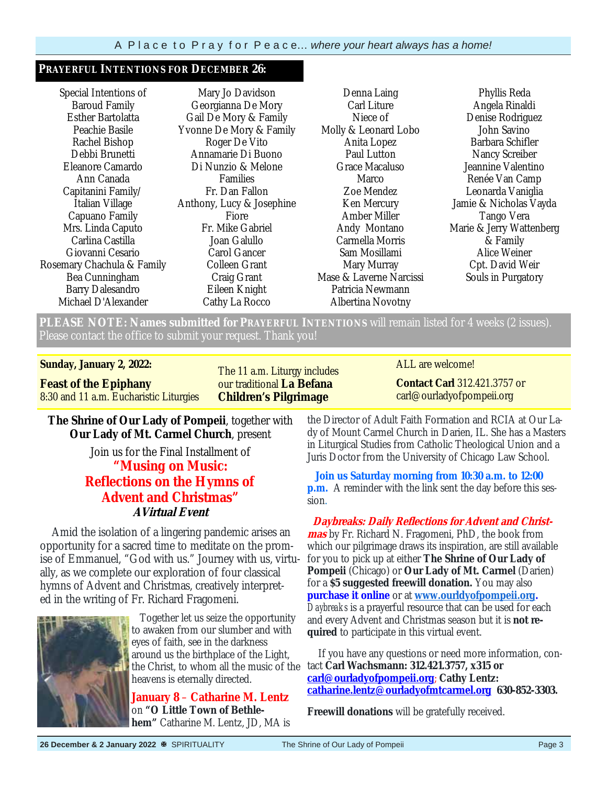### **PRAYERFUL INTENTIONS FOR DECEMBER 26:**

Special Intentions of Baroud Family Esther Bartolatta Peachie Basile Rachel Bishop Debbi Brunetti Eleanore Camardo Ann Canada Capitanini Family/ Italian Village Capuano Family Mrs. Linda Caputo Carlina Castilla Giovanni Cesario Rosemary Chachula & Family Bea Cunningham Barry Dalesandro Michael D'Alexander

Mary Jo Davidson Georgianna De Mory Gail De Mory & Family Yvonne De Mory & Family Roger De Vito Annamarie Di Buono Di Nunzio & Melone Families Fr. Dan Fallon Anthony, Lucy & Josephine Fiore Fr. Mike Gabriel Joan Galullo Carol Gancer Colleen Grant Craig Grant Eileen Knight Cathy La Rocco

Denna Laing Carl Liture Niece of Molly & Leonard Lobo Anita Lopez Paul Lutton Grace Macaluso Marco Zoe Mendez Ken Mercury Amber Miller Andy Montano Carmella Morris Sam Mosillami Mary Murray Mase & Laverne Narcissi Patricia Newmann Albertina Novotny

Phyllis Reda Angela Rinaldi Denise Rodriguez John Savino Barbara Schifler Nancy Screiber Jeannine Valentino Renée Van Camp Leonarda Vaniglia Jamie & Nicholas Vayda Tango Vera Marie & Jerry Wattenberg & Family Alice Weiner Cpt. David Weir Souls in Purgatory

**PLEASE NOTE: Names submitted for PRAYERFUL INTENTIONS** will remain listed for 4 weeks (2 issues). Please contact the office to submit your request. Thank you!

### **Sunday, January 2, 2022:**

**Feast of the Epiphany** 8:30 and 11 a.m. Eucharistic Liturgies The 11 a.m. Liturgy includes our traditional **La Befana Children's Pilgrimage** 

ALL are welcome!

**Contact Carl** 312.421.3757 or carl@ourladyofpompeii.org

**The Shrine of Our Lady of Pompeii**, together with **Our Lady of Mt. Carmel Church**, present

> Join us for the Final Installment of **"Musing on Music: Reflections on the Hymns of Advent and Christmas" AVirtual Event**

 Amid the isolation of a lingering pandemic arises an opportunity for a sacred time to meditate on the promise of Emmanuel, "God with us." Journey with us, virtually, as we complete our exploration of four classical hymns of Advent and Christmas, creatively interpreted in the writing of Fr. Richard Fragomeni.



 Together let us seize the opportunity to awaken from our slumber and with eyes of faith, see in the darkness around us the birthplace of the Light, the Christ, to whom all the music of the heavens is eternally directed.

**January 8** – **Catharine M. Lentz**  on **"O Little Town of Bethlehem"** Catharine M. Lentz, JD, MA is the Director of Adult Faith Formation and RCIA at Our Lady of Mount Carmel Church in Darien, IL. She has a Masters in Liturgical Studies from Catholic Theological Union and a Juris Doctor from the University of Chicago Law School.

 **Join us Saturday morning from 10:30 a.m. to 12:00 p.m.** A reminder with the link sent the day before this session.

 **Daybreaks: Daily Reflections for Advent and Christmas** by Fr. Richard N. Fragomeni, PhD, the book from which our pilgrimage draws its inspiration, are still available for you to pick up at either **The Shrine of Our Lady of Pompeii** (Chicago) or **Our Lady of Mt. Carmel** (Darien) for a **\$5 suggested freewill donation.** You may also **purchase it online** or at **www.ourldyofpompeii.org.**  *Daybreaks* is a prayerful resource that can be used for each and every Advent and Christmas season but it is **not required** to participate in this virtual event.

 If you have any questions or need more information, contact **Carl Wachsmann: 312.421.3757, x315 or carl@ourladyofpompeii.org**; **Cathy Lentz: catharine.lentz@ourladyofmtcarmel.org 630-852-3303.**

**Freewill donations** will be gratefully received.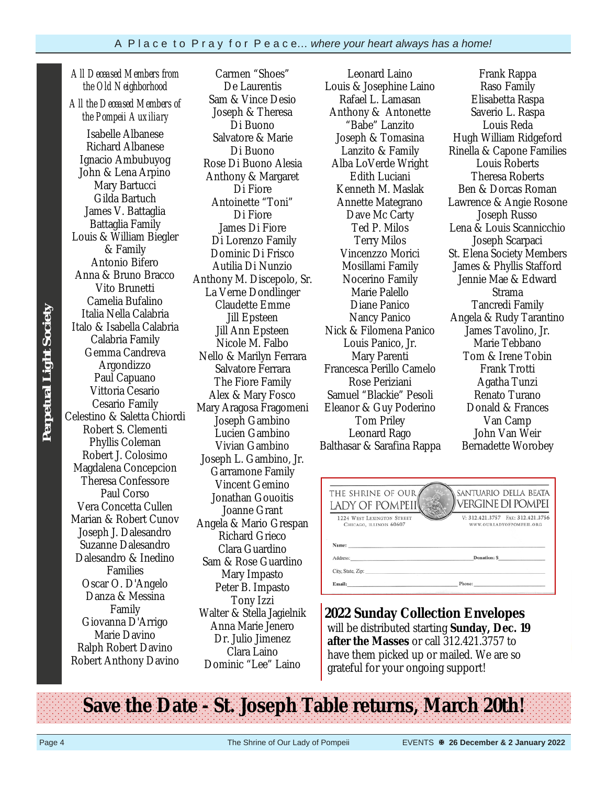**PERPETUAL LIGHT SOCIETY SOCIETY** Salvatore & Marie Society Joseph & Tomasina Hugh William Consider joining the **Perpetual Light Society** Ignacio Ambubuyog  $\overline{\phantom{a}}$  John & Lena Arpino  $\overline{\phantom{a}}$  Anthony & Margaret **donation of the S100.000, you can be a 100.000 model of the interval one is seen in the interval one is a 100.000 model on the interval one is**  $\overline{D}$  **is Fiore bered for a vehicle** for a state of the state of the theorem is a state of the state of the state of the state of the state of the state of the state of the state of the state of the state of the state of the state of the **Bulletin Bulletin Sunday Sunday Sunday Sunday Sunday 1988**<br> **Example Sunday Sunday Sunday Sunday Sunday Sunday Sunday Sunday Sunday Sunday Sunday Sunday Sunday Sunday Sunday Sunday Sunday Sunday Sunday Sunday Sunday Sunda** Call the Shrine for details **312.421.3757.**  Louis & William Biegler 1. The contract of the christmas Calabria **Flower Offering Calabria** Family **or** *in the Calabria* Family **of Love Calabria** Family **of Love Later Calabria** Family **of Love Later Calabria** Family **of Love Later Calabria** T cemma Candreva Mello & Marilyn Ferrara Mary Parenti Comma Gemma Candreva (\$5 Minimum donation.) The church or visit website above (\$5 Minimum donation.) The Comma Candreva (\$5 Minimum donation.) The Second Value of the The no dealer on the charge of the altar will place will place your love of the altar starting of the altar starting<br>Francesca Perillo Camelo Frank Trotting **Christmas Eventuary 2, the Christmas Sunday, Sunday, Sunday, Sunday, Sunday, Sunday, Sunday, Sunday, Sunday, 2, t<br>
Paul Capuano <b>The Fiore Family** Rose Periziani Agatha Tunzi  $\overline{R}$  Vittoria Cesario  $\overline{R}$  Alex & Mary Fosco **2. Celestino & Saletta Chiordi** intentional of Cambino intentional conductions with the same special intention<br>Tom Priley intentional intentional intentional intentional intentional intentional intentional community of Robert S. Clementic Less was exampled by Friday, and Memorials received by Transferred by Transferred by Transferred by Transferred by Transferred by Transferred by Transferred by Transferred by Transferred by Transferred  $\blacksquare$  Phyllis Coleman Vivian C of the "Prayers" Intercept Intercept Intercept Intercept Intercept Intercept Intercept Intercept Intercept Intercept Intercept Intercept Intercept Intercept Intercept Intercept Intercept Intercept Intercept Intercept Inter mately 5 to 7 Magdalena Concepcion and Garramone Family make your donation and offer your intention. \$5 minimum donation per candle. **3. Memorial Gifts Concetta Cullen Issued Gifts** *Joanne* **Cone, living a love of a love of a love of a love of a love of a love of a love of a love of a love of a love o Example 3** Joseph J. Dalesandro **5.** January 2, 2022, 11 a.m. Mass - Giovanna D'Arrigo **The Electron Control Control Control Control Control Control Control Control Control Control Control Control Control Control Control Control Control Control Control Control Control Control Control Control Control Control** Robert Anthony Davino<br>
Robert Anthony Davino *the Old Neighborhood* **De Laurentis**<br> **Computer** Some *Mines* Doct Mary Namilies Mary 2021 tax deadlines via website in Oscar O. D'Angelo  $\mathcal{L}_{\text{aux}}$  box  $\mathcal{L}_{\text{aux}}$  box  $\mathcal{L}_{\text{aux}}$ *All Deceased Members from All the Deceased Members of the Pompeii Auxiliary*  Isabelle Albanese Richard Albanese Gilda Bartuch James V. Battaglia & Family Antonio Bifero Anna & Bruno Bracco Vito Brunetti Camelia Bufalino Italia Nella Calabria Italo & Isabella Calabria Calabria Family Argondizzo Cesario Family Robert J. Colosimo Theresa Confessore Paul Corso Suzanne Dalesandro Dalesandro & Inedino Danza & Messina Family Marie Davino

**For its Shoes** Carmen "Shoes" sed Members of **"Domatic table of the table of the table of the table of the table of the table of the table of**<br>if Auxiliary **I** Joseph & Theresa De Laurentis Sam & Vince Desio Di Buono Salvatore & Marie Di Buono Rose Di Buono Alesia Anthony & Margaret Di Fiore Di Fiore James Di Fiore Di Lorenzo Family Dominic Di Frisco Autilia Di Nunzio Anthony M. Discepolo, Sr. La Verne Dondlinger Claudette Emme Jill Epsteen Jill Ann Epsteen Nicole M. Falbo Nello & Marilyn Ferrara Salvatore Ferrara The Fiore Family Alex & Mary Fosco Mary Aragosa Fragomeni Joseph Gambino Lucien Gambino Vivian Gambino Garramone Family Vincent Gemino Jonathan Gouoitis Joanne Grant Richard Grieco Clara Guardino Sam & Rose Guardino Mary Impasto Peter B. Impasto Tony Izzi Walter & Stella Jagielnik Anna Marie Jenero Dr. Julio Jimenez Clara Laino Dominic "Lee" Laino

Louis & Josephine Laino Raso Family<br>Rafael L. J. amasan **Bullishetta Basna Anthony & Antonette** Saverio L. Raspa "Babe" Lanzito Marchetta Louis Reda <u>Claudette Effinie</u><br> **Mancy Panico**<br> **Wancy Panico** Ang Leonard Laino Rafael L. Lamasan Lanzito & Family Alba LoVerde Wright Edith Luciani Kenneth M. Maslak Annette Mategrano Dave Mc Carty Ted P. Milos Terry Milos Vincenzzo Morici Mosillami Family Nocerino Family Marie Palello Diane Panico Nick & Filomena Panico Louis Panico, Jr. Mary Parenti Rose Periziani Samuel "Blackie" Pesoli Eleanor & Guy Poderino Tom Priley Leonard Rago Balthasar & Sarafina Rappa

**2022** Leonard Laino<br> **2023** Superior Rappa **Collection Environment** Collection Environment Collection Environment Collection Collection Collection Collection Collection Collection Collection Collection Collection Collecti Raso Family Elisabetta Raspa Saverio L. Raspa Louis Reda Hugh William Ridgeford Rinella & Capone Families Louis Roberts Theresa Roberts Ben & Dorcas Roman Lawrence & Angie Rosone Joseph Russo Lena & Louis Scannicchio Joseph Scarpaci St. Elena Society Members James & Phyllis Stafford Jennie Mae & Edward Strama Tancredi Family Angela & Rudy Tarantino James Tavolino, Jr. Marie Tebbano Tom & Irene Tobin Frank Trotti Agatha Tunzi Renato Turano Donald & Frances Van Camp John Van Weir Bernadette Worobey

| Vincent Gemino         |                                                       |                                                               |
|------------------------|-------------------------------------------------------|---------------------------------------------------------------|
| Jonathan Gouoitis      | THE SHRINE OF OUR                                     | SANTUARIO DELLA BEATA<br><b>VERGINE DI POMPEI</b>             |
| Joanne Grant           | LADY OF POMPEII                                       |                                                               |
| Angela & Mario Grespan | 1224 WEST LEXINGTON STREET<br>CHICAGO, ILLINOIS 60607 | V: 312.421.3757 FAX: 312.421.3756<br>WWW.OURLADYOFPOMPEII.ORG |
| <b>Richard Grieco</b>  |                                                       |                                                               |
| Clara Guardino         | Name:                                                 |                                                               |
| Sam & Rose Guardino    | Address:                                              | Donation: S                                                   |
| Mary Impasto           | City, State, Zip:                                     |                                                               |
| Peter B. Impasto       | Email:                                                | Phone:                                                        |
|                        |                                                       |                                                               |

 $\mathbf{u}$  in  $\mathbf{v}$  box above, or  $\mathbf{u}$ Extraction **Contact Sunday Contact Contact Properties**<br>
ero **will be distributed starting Sunday, Dec. 19** <sup>1</sup> **after the Masses** or call 312.421.3757 to  $\frac{1}{2}$  have them picked up or mailed. We are so **2022 Sunday Collection Envelopes**  grateful for your ongoing support!

**Save the Date - St. Joseph Table returns, March 20th!**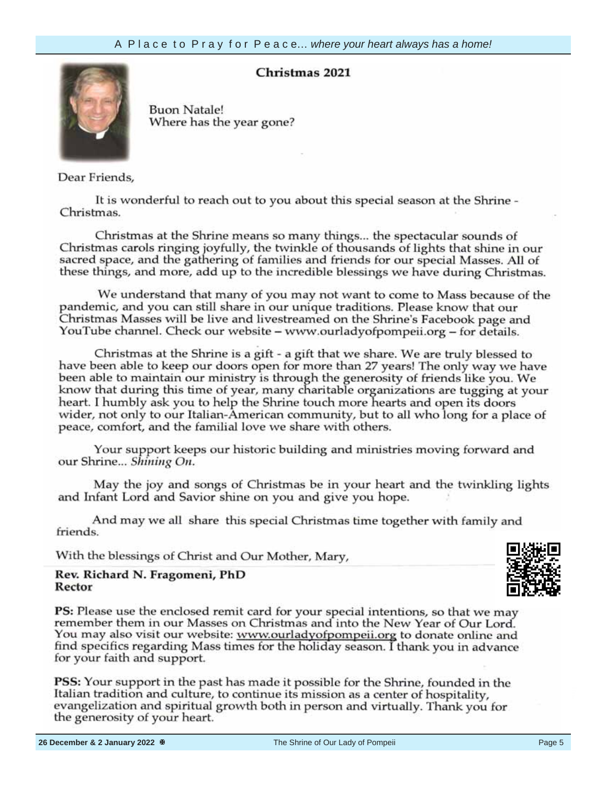### **Christmas 2021**



**Buon Natale!** Where has the year gone?

Dear Friends,

It is wonderful to reach out to you about this special season at the Shrine -Christmas.

your information,  $\alpha$  $Cn$ ristma sacred space, and the gathering of families and friends for our special Masses. All of these things, and more, add up to the incredible blessings we have during Christmas.

We understand that many of you may not want to come to Mass because of the pandemic and you can still share in our unique traditions. Please kn Christmas Masses will be live and livestreamed on the Shrine's YouTube channel. Check our website – www.ourladyofpompeii.org – for details.

Christmas at the Shrine is a gift - a gift that we share. We are truly blessed to have been able to keep our doors open for more than 27 years! The only way we have been able to maintain our ministry is through the generosity of friends like you. We know that during this time of year, many charitable organizations are tugging at your heart. I humbly ask you to help the Shrine touch more hearts and open its doors wider, not only to our Italian-American community, but to all who long for a place of peace, comfort, and the familial love we share with others.

Your support keeps our historic building and ministries moving forward and our Shrine... Shining On.

May the joy and songs of Christmas be in your heart and the twinkling lights and Infant Lord and Savior shine on you and give you hope.

And may we all share this special Christmas time together with family and friends.

With the blessings of Christ and Our Mother, Mary,

#### Rev. Richard N. Fragomeni, PhD Rector

PS: Please use the enclosed remit card for your special intentions, so that we may remember them in our Masses on Christmas and into the New Year of Our Lord. You may also visit our website: www.ourladyofpompeii.org to donate online and find specifics regarding Mass times for the holiday season. I thank you in advance for your faith and support.

**PSS:** Your support in the past has made it possible for the Shrine, founded in the Italian tradition and culture, to continue its mission as a center of hospitality, evangelization and spiritual growth both in person and virtually. Thank you for the generosity of your heart.

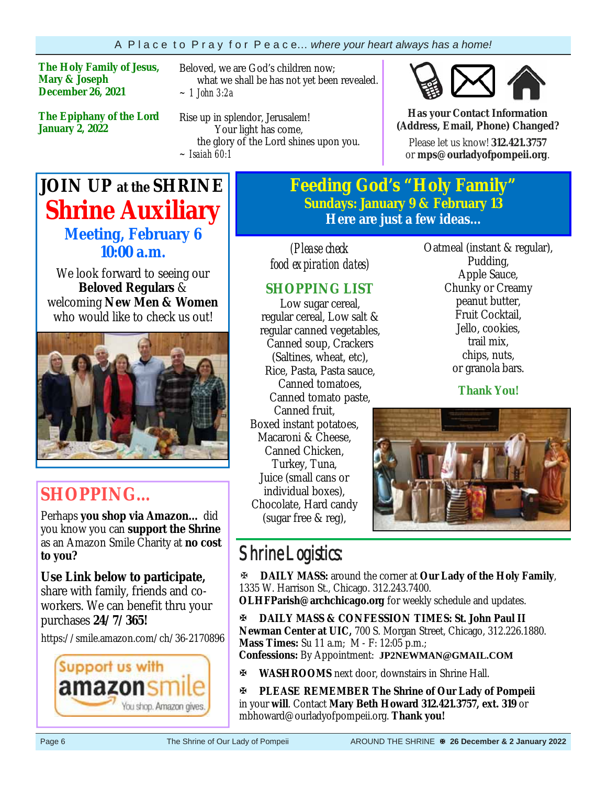**The Holy Family of Jesus, Mary & Joseph December 26, 2021**

**The Epiphany of the Lord January 2, 2022**

Beloved, we are God's children now; what we shall be has not yet been revealed. *~ 1 John 3:2a*

Rise up in splendor, Jerusalem! Your light has come, the glory of the Lord shines upon you. *~ Isaiah 60:1*



**Has your Contact Information (Address, Email, Phone) Changed?**

Please let us know! **312.421.3757**  or **mps@ourladyofpompeii.org**.

## **JOIN UP at the SHRINE Shrine Auxiliary Meeting, February 6 10:00 a.m.**

We look forward to seeing our **Beloved Regulars** & welcoming **New Men & Women**  who would like to check us out!



## **SHOPPING…**

Perhaps **you shop via Amazon…** did you know you can **support the Shrine**  as an Amazon Smile Charity at **no cost to you?** 

**Use Link below to participate,** share with family, friends and coworkers. We can benefit thru your purchases **24/7/365!**

https://smile.amazon.com/ch/36-2170896



### **Feeding God's "Holy Family" Sundays: January 9 & February 13 Here are just a few ideas...**

*(Please check food expiration dates)* 

### **SHOPPING LIST**

Low sugar cereal, regular cereal, Low salt & regular canned vegetables, Canned soup, Crackers (Saltines, wheat, etc), Rice, Pasta, Pasta sauce, Canned tomatoes, Canned tomato paste, Canned fruit, Boxed instant potatoes, Macaroni & Cheese, Canned Chicken, Turkey, Tuna, Juice (small cans or individual boxes), Chocolate, Hard candy (sugar free & reg),

Oatmeal (instant & regular), Pudding, Apple Sauce, Chunky or Creamy peanut butter, Fruit Cocktail, Jello, cookies, trail mix, chips, nuts, or granola bars.

**Thank You!**



## Shrine Logistics:

**DAILY MASS:** around the corner at **Our Lady of the Holy Family**, 1335 W. Harrison St., Chicago. 312.243.7400.

**OLHFParish@archchicago.org** for weekly schedule and updates.

**DAILY MASS & CONFESSION TIMES: St. John Paul II Newman Center at UIC,** 700 S. Morgan Street, Chicago, 312.226.1880. **Mass Times:** Su 11 a.m; M - F: 12:05 p.m.; **Confessions:** By Appointment: **JP2NEWMAN@GMAIL.COM**

**WASHROOMS** next door, downstairs in Shrine Hall.

**PLEASE REMEMBER The Shrine of Our Lady of Pompeii**  in your **will**. Contact **Mary Beth Howard 312.421.3757, ext. 319** or mbhoward@ourladyofpompeii.org. **Thank you!**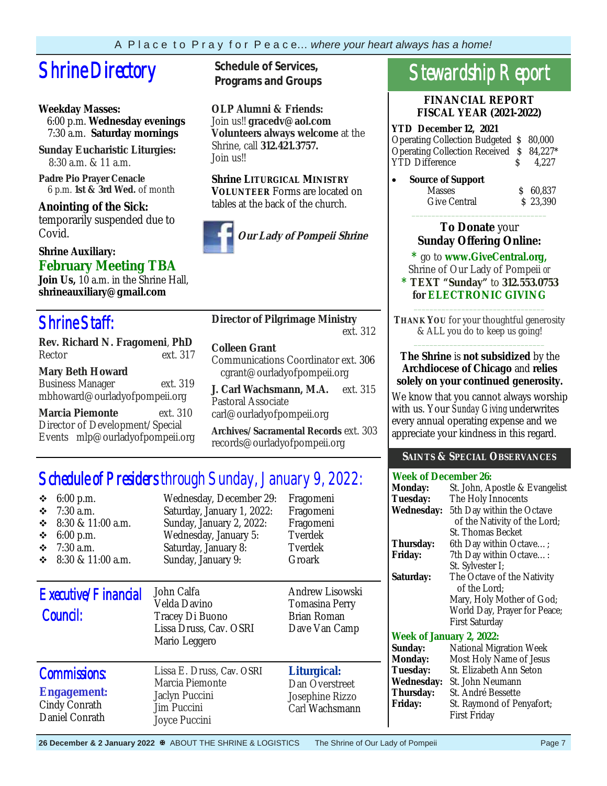# **Shrine Directory** Schedule of Services,

### **Weekday Masses:**

 6:00 p.m. **Wednesday evenings** 7:30 a.m. **Saturday mornings**

**Sunday Eucharistic Liturgies:** 8:30 a.m. & 11 a.m.

**Padre Pio Prayer Cenacle** 6 p.m. **1st & 3rd Wed.** of month

**Anointing of the Sick:**  temporarily suspended due to Covid.

### **Shrine Auxiliary: February Meeting TBA**

**Join Us,** 10 a.m. in the Shrine Hall, **shrineauxiliary@gmail.com** 

## Shrine Staff:

**Rev. Richard N. Fragomeni**, **PhD**  Rector ext. 317

### **Mary Beth Howard**

Business Manager ext. 319 mbhoward@ourladyofpompeii.org

**Marcia Piemonte** ext. 310 Director of Development/Special Events mlp@ourladyofpompeii.org **Programs and Groups**

**OLP Alumni & Friends:**  Join us!! **gracedv@aol.com Volunteers always welcome** at the Shrine, call **312.421.3757.**  Join us!!

**Shrine LITURGICAL MINISTRY VOLUNTEER** Forms are located on tables at the back of the church.



**Director of Pilgrimage Ministry** ext. 312

### **Colleen Grant**

Communications Coordinator ext. 306 cgrant@ourladyofpompeii.org

**J. Carl Wachsmann, M.A.** ext. 315 Pastoral Associate carl@ourladyofpompeii.org

**Archives/Sacramental Records** ext. 303 records@ourladyofpompeii.org

## Schedule of Presiders through Sunday, January 9, 2022:

| 6:00 p.m.<br>❖<br>$7:30$ a.m.<br>❖<br>8:30 & 11:00 a.m.<br>❖<br>❖<br>$6:00$ p.m.<br>$7:30$ a.m.<br>❖<br>8:30 & 11:00 a.m.<br>❖ | Wednesday, December 29:<br>Saturday, January 1, 2022:<br>Sunday, January 2, 2022:<br>Wednesday, January 5:<br>Saturday, January 8:<br>Sunday, January 9: | Fragomeni<br>Fragomeni<br>Fragomeni<br>Tverdek<br>Tverdek<br>Groark |
|--------------------------------------------------------------------------------------------------------------------------------|----------------------------------------------------------------------------------------------------------------------------------------------------------|---------------------------------------------------------------------|
| Executive/Financial<br>Council:                                                                                                | John Calfa<br>Velda Davino<br>Tracey Di Buono<br>Lissa Druss, Cav. OSRI<br>Mario Leggero                                                                 | Andrew Lisowski<br>Tomasina Perry<br>Brian Roman<br>Dave Van Camp   |
| <b>Commissions:</b><br><b>Engagement:</b><br>Cindy Conrath<br>Daniel Conrath                                                   | Lissa E. Druss, Cav. OSRI<br>Marcia Piemonte<br>Jaclyn Puccini<br><b>Jim Puccini</b><br>Joyce Puccini                                                    | Liturgical:<br>Dan Overstreet<br>Josephine Rizzo<br>Carl Wachsmann  |

## Stewardship Report

### **FINANCIAL REPORT FISCAL YEAR (2021-2022)**

| <b>YTD</b> December 12, 2021             |     |       |
|------------------------------------------|-----|-------|
| Operating Collection Budgeted \$ 80,000  |     |       |
| Operating Collection Received \$ 84,227* |     |       |
| <b>YTD Difference</b>                    | S - | 4.227 |
|                                          |     |       |

| $\bullet$ | <b>Source of Support</b> |          |
|-----------|--------------------------|----------|
|           | <b>Masses</b>            | \$60,837 |
|           | Give Central             | \$23.390 |

### **To Donate** your **Sunday Offering Online:**

 $\overline{\phantom{a}}$  ,  $\overline{\phantom{a}}$  ,  $\overline{\phantom{a}}$  ,  $\overline{\phantom{a}}$  ,  $\overline{\phantom{a}}$  ,  $\overline{\phantom{a}}$  ,  $\overline{\phantom{a}}$  ,  $\overline{\phantom{a}}$  ,  $\overline{\phantom{a}}$  ,  $\overline{\phantom{a}}$  ,  $\overline{\phantom{a}}$  ,  $\overline{\phantom{a}}$  ,  $\overline{\phantom{a}}$  ,  $\overline{\phantom{a}}$  ,  $\overline{\phantom{a}}$  ,  $\overline{\phantom{a}}$ 

**\*** go to **www.GiveCentral.org,**

Shrine of Our Lady of Pompeii *or* 

**\* TEXT "Sunday"** to **312.553.0753 for ELECTRONIC GIVING** \_\_\_\_\_\_\_\_\_\_\_\_\_\_\_\_\_\_\_\_\_\_\_\_\_\_\_\_\_\_\_\_\_

**THANK YOU** for your thoughtful generosity & ALL you do to keep us going! \_\_\_\_\_\_\_\_\_\_\_\_\_\_\_\_\_\_\_\_\_\_\_\_\_\_\_\_\_\_\_\_\_

### **The Shrine** is **not subsidized** by the **Archdiocese of Chicago** and **relies solely on your continued generosity.**

We know that you cannot always worship with us. Your *Sunday Giving* underwrites every annual operating expense and we appreciate your kindness in this regard.

### **SAINTS & SPECIAL OBSERVANCES**

### **Week of December 26:**

| <b>Monday:</b>                  | St. John, Apostle & Evangelist |
|---------------------------------|--------------------------------|
| <b>Tuesday:</b>                 | The Holy Innocents             |
| <b>Wednesday:</b>               | 5th Day within the Octave      |
|                                 | of the Nativity of the Lord;   |
|                                 | St. Thomas Becket              |
| Thursday:                       | 6th Day within Octave;         |
| <b>Friday:</b>                  | 7th Day within Octave:         |
|                                 | St. Sylvester I;               |
| Saturday:                       | The Octave of the Nativity     |
|                                 | of the Lord:                   |
|                                 | Mary, Holy Mother of God;      |
|                                 | World Day, Prayer for Peace;   |
|                                 | First Saturday                 |
| <b>Week of January 2, 2022:</b> |                                |
| Sunday:                         | <b>National Migration Week</b> |
| Monday:                         | Most Holy Name of Jesus        |
| <b>Tuesday:</b>                 | St. Elizabeth Ann Seton        |
| <b>Wednesday:</b>               | St. John Neumann               |
| Thursday:                       | St. André Bessette             |
| Friday:                         | St. Raymond of Penyafort;      |
|                                 | First Friday                   |